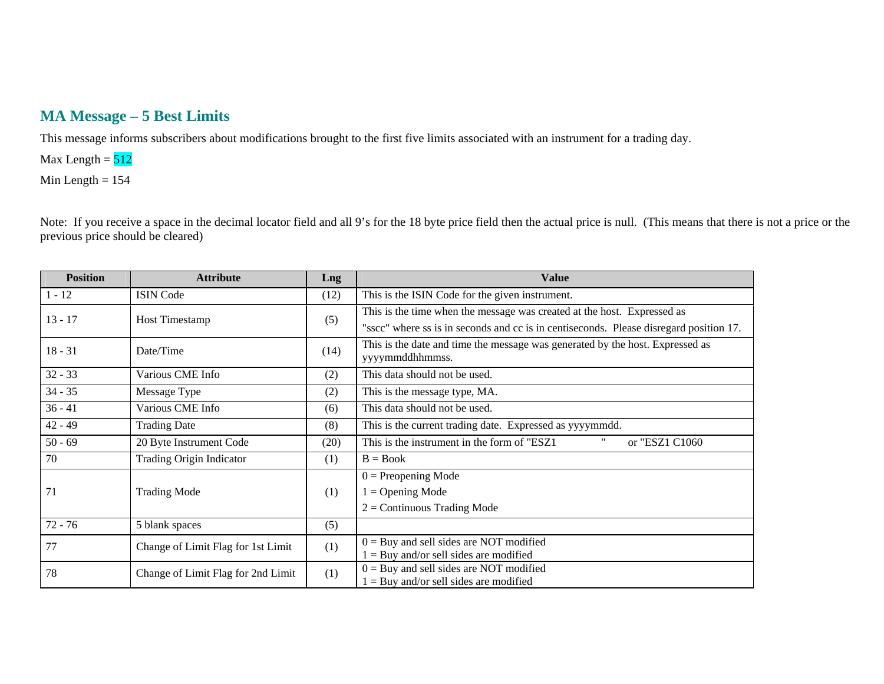## **MA Message – 5 Best Limits**

This message informs subscribers about modifications brought to the first five limits associated with an instrument for a trading day.

Max Length  $= 512$ 

Min Length  $= 154$ 

Note: If you receive a space in the decimal locator field and all 9's for the 18 byte price field then the actual price is null. (This means that there is not a price or the previous price should be cleared)

| <b>Position</b> | <b>Attribute</b>                   | Lng  | <b>Value</b>                                                                           |
|-----------------|------------------------------------|------|----------------------------------------------------------------------------------------|
| $1 - 12$        | <b>ISIN Code</b>                   | (12) | This is the ISIN Code for the given instrument.                                        |
| $13 - 17$       | Host Timestamp                     | (5)  | This is the time when the message was created at the host. Expressed as                |
|                 |                                    |      | "sscc" where ss is in seconds and cc is in centiseconds. Please disregard position 17. |
| $18 - 31$       | Date/Time                          | (14) | This is the date and time the message was generated by the host. Expressed as          |
|                 |                                    |      | yyyymmddhhmmss.                                                                        |
| $32 - 33$       | Various CME Info                   | (2)  | This data should not be used.                                                          |
| $34 - 35$       | Message Type                       | (2)  | This is the message type, MA.                                                          |
| $36 - 41$       | Various CME Info                   | (6)  | This data should not be used.                                                          |
| $42 - 49$       | <b>Trading Date</b>                | (8)  | This is the current trading date. Expressed as yyyymmdd.                               |
| $50 - 69$       | 20 Byte Instrument Code            | (20) | This is the instrument in the form of "ESZ1<br>"<br>or "ESZ1 C1060                     |
| 70              | <b>Trading Origin Indicator</b>    | (1)  | $B = Book$                                                                             |
|                 |                                    |      | $0 =$ Preopening Mode                                                                  |
| 71              | <b>Trading Mode</b>                | (1)  | $=$ Opening Mode                                                                       |
|                 |                                    |      | $2 =$ Continuous Trading Mode                                                          |
| $72 - 76$       | 5 blank spaces                     | (5)  |                                                                                        |
| 77              | Change of Limit Flag for 1st Limit | (1)  | $0 =$ Buy and sell sides are NOT modified                                              |
|                 |                                    |      | $=$ Buy and/or sell sides are modified                                                 |
| 78              | Change of Limit Flag for 2nd Limit | (1)  | $0 =$ Buy and sell sides are NOT modified                                              |
|                 |                                    |      | $1 =$ Buy and/or sell sides are modified                                               |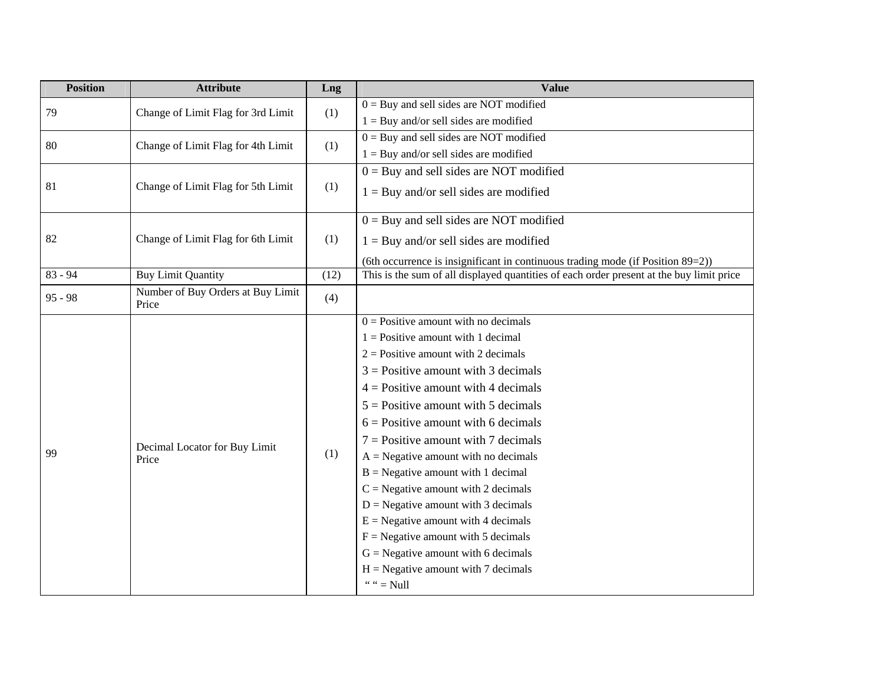| <b>Position</b> | <b>Attribute</b>                           | Lng  | <b>Value</b>                                                                             |
|-----------------|--------------------------------------------|------|------------------------------------------------------------------------------------------|
| 79              | Change of Limit Flag for 3rd Limit         | (1)  | $0 =$ Buy and sell sides are NOT modified                                                |
|                 |                                            |      | $1 =$ Buy and/or sell sides are modified                                                 |
| 80              | Change of Limit Flag for 4th Limit         | (1)  | $0 =$ Buy and sell sides are NOT modified                                                |
|                 |                                            |      | $1 =$ Buy and/or sell sides are modified                                                 |
|                 |                                            |      | $0 =$ Buy and sell sides are NOT modified                                                |
| 81              | Change of Limit Flag for 5th Limit         | (1)  | $1 = \text{Buy}$ and/or sell sides are modified                                          |
|                 |                                            |      | $0 =$ Buy and sell sides are NOT modified                                                |
| 82              | Change of Limit Flag for 6th Limit         | (1)  | $1 = \text{Buy}$ and/or sell sides are modified                                          |
|                 |                                            |      | (6th occurrence is insignificant in continuous trading mode (if Position $89=2$ ))       |
| $83 - 94$       | <b>Buy Limit Quantity</b>                  | (12) | This is the sum of all displayed quantities of each order present at the buy limit price |
| $95 - 98$       | Number of Buy Orders at Buy Limit<br>Price | (4)  |                                                                                          |
|                 |                                            |      | $0 =$ Positive amount with no decimals                                                   |
|                 |                                            |      | $1 =$ Positive amount with 1 decimal                                                     |
|                 |                                            |      | $2 =$ Positive amount with 2 decimals                                                    |
|                 |                                            |      | $3$ = Positive amount with 3 decimals                                                    |
|                 |                                            | (1)  | $4$ = Positive amount with 4 decimals                                                    |
|                 |                                            |      | $5 =$ Positive amount with 5 decimals                                                    |
|                 |                                            |      | $6$ = Positive amount with 6 decimals                                                    |
|                 | Decimal Locator for Buy Limit              |      | $7 =$ Positive amount with 7 decimals                                                    |
| 99              | Price                                      |      | $A = Negative amount with no decimals$                                                   |
|                 |                                            |      | $B = Negative amount with 1 decimal$                                                     |
|                 |                                            |      | $C =$ Negative amount with 2 decimals                                                    |
|                 |                                            |      | $D =$ Negative amount with 3 decimals                                                    |
|                 |                                            |      | $E =$ Negative amount with 4 decimals                                                    |
|                 |                                            |      | $F =$ Negative amount with 5 decimals                                                    |
|                 |                                            |      | $G =$ Negative amount with 6 decimals                                                    |
|                 |                                            |      | $H =$ Negative amount with 7 decimals                                                    |
|                 |                                            |      | " " = Null                                                                               |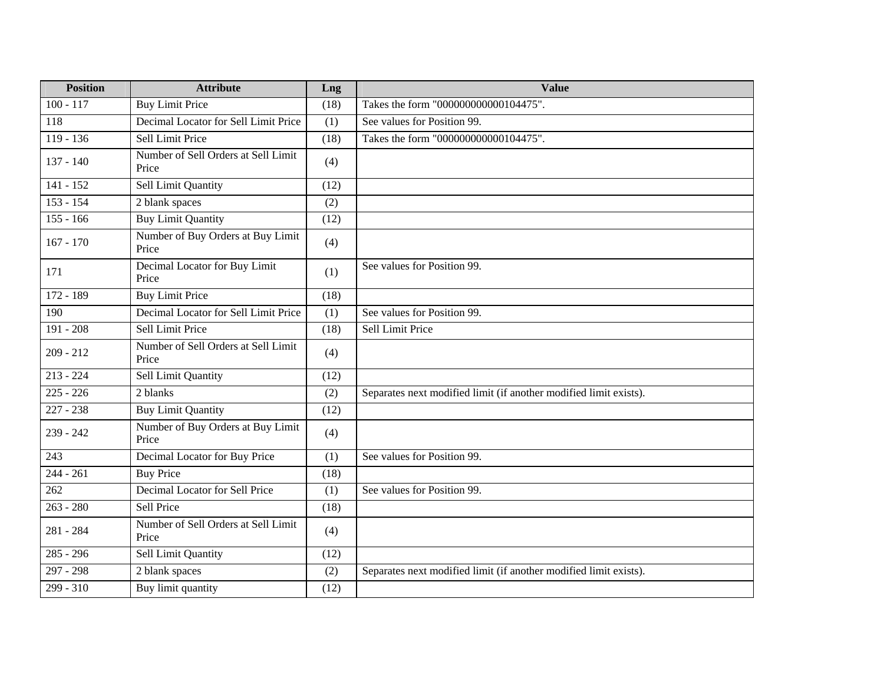| <b>Position</b> | <b>Attribute</b>                             | Lng  | <b>Value</b>                                                      |
|-----------------|----------------------------------------------|------|-------------------------------------------------------------------|
| $100 - 117$     | <b>Buy Limit Price</b>                       | (18) | Takes the form "000000000000104475".                              |
| 118             | Decimal Locator for Sell Limit Price         | (1)  | See values for Position 99.                                       |
| $119 - 136$     | Sell Limit Price                             | (18) | Takes the form "000000000000104475".                              |
| $137 - 140$     | Number of Sell Orders at Sell Limit<br>Price | (4)  |                                                                   |
| $141 - 152$     | <b>Sell Limit Quantity</b>                   | (12) |                                                                   |
| $153 - 154$     | 2 blank spaces                               | (2)  |                                                                   |
| $155 - 166$     | <b>Buy Limit Quantity</b>                    | (12) |                                                                   |
| $167 - 170$     | Number of Buy Orders at Buy Limit<br>Price   | (4)  |                                                                   |
| 171             | Decimal Locator for Buy Limit<br>Price       | (1)  | See values for Position 99.                                       |
| 172 - 189       | <b>Buy Limit Price</b>                       | (18) |                                                                   |
| 190             | Decimal Locator for Sell Limit Price         | (1)  | See values for Position 99.                                       |
| $191 - 208$     | Sell Limit Price                             | (18) | Sell Limit Price                                                  |
| $209 - 212$     | Number of Sell Orders at Sell Limit<br>Price | (4)  |                                                                   |
| $213 - 224$     | Sell Limit Quantity                          | (12) |                                                                   |
| $225 - 226$     | 2 blanks                                     | (2)  | Separates next modified limit (if another modified limit exists). |
| $227 - 238$     | <b>Buy Limit Quantity</b>                    | (12) |                                                                   |
| $239 - 242$     | Number of Buy Orders at Buy Limit<br>Price   | (4)  |                                                                   |
| 243             | Decimal Locator for Buy Price                | (1)  | See values for Position 99.                                       |
| $244 - 261$     | <b>Buy Price</b>                             | (18) |                                                                   |
| 262             | Decimal Locator for Sell Price               | (1)  | See values for Position 99.                                       |
| $263 - 280$     | Sell Price                                   | (18) |                                                                   |
| 281 - 284       | Number of Sell Orders at Sell Limit<br>Price | (4)  |                                                                   |
| $285 - 296$     | Sell Limit Quantity                          | (12) |                                                                   |
| $297 - 298$     | 2 blank spaces                               | (2)  | Separates next modified limit (if another modified limit exists). |
| 299 - 310       | Buy limit quantity                           | (12) |                                                                   |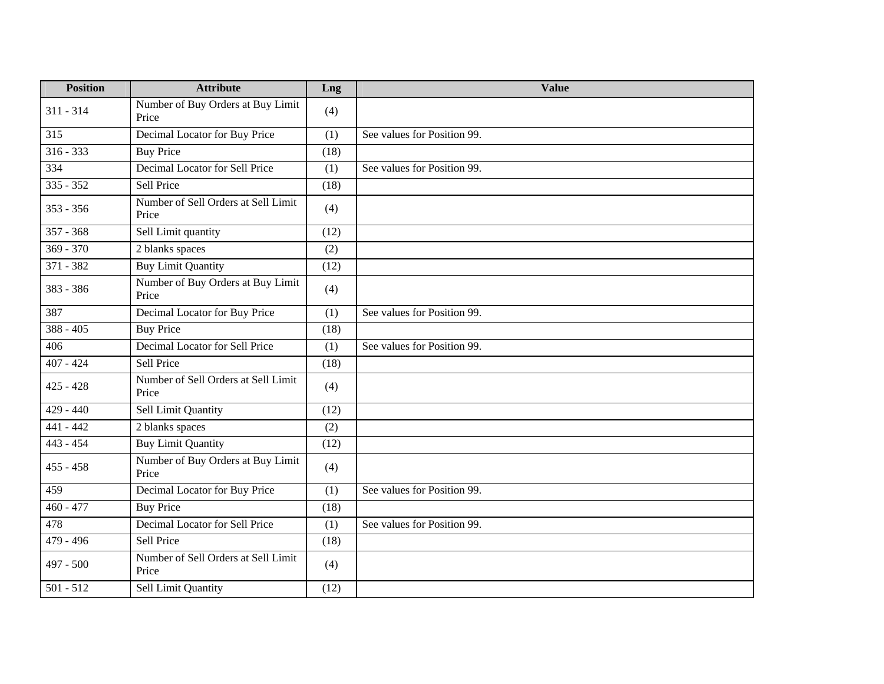| <b>Position</b> | <b>Attribute</b>                             | Lng  | <b>Value</b>                |
|-----------------|----------------------------------------------|------|-----------------------------|
| $311 - 314$     | Number of Buy Orders at Buy Limit<br>Price   | (4)  |                             |
| 315             | Decimal Locator for Buy Price                | (1)  | See values for Position 99. |
| $316 - 333$     | <b>Buy Price</b>                             | (18) |                             |
| 334             | Decimal Locator for Sell Price               | (1)  | See values for Position 99. |
| $335 - 352$     | Sell Price                                   | (18) |                             |
| $353 - 356$     | Number of Sell Orders at Sell Limit<br>Price | (4)  |                             |
| $357 - 368$     | Sell Limit quantity                          | (12) |                             |
| $369 - 370$     | 2 blanks spaces                              | (2)  |                             |
| $371 - 382$     | <b>Buy Limit Quantity</b>                    | (12) |                             |
| 383 - 386       | Number of Buy Orders at Buy Limit<br>Price   | (4)  |                             |
| 387             | Decimal Locator for Buy Price                | (1)  | See values for Position 99. |
| $388 - 405$     | <b>Buy Price</b>                             | (18) |                             |
| 406             | Decimal Locator for Sell Price               | (1)  | See values for Position 99. |
| $407 - 424$     | Sell Price                                   | (18) |                             |
| $425 - 428$     | Number of Sell Orders at Sell Limit<br>Price | (4)  |                             |
| $429 - 440$     | Sell Limit Quantity                          | (12) |                             |
| $441 - 442$     | 2 blanks spaces                              | (2)  |                             |
| $443 - 454$     | <b>Buy Limit Quantity</b>                    | (12) |                             |
| $455 - 458$     | Number of Buy Orders at Buy Limit<br>Price   | (4)  |                             |
| 459             | Decimal Locator for Buy Price                | (1)  | See values for Position 99. |
| $460 - 477$     | <b>Buy Price</b>                             | (18) |                             |
| 478             | Decimal Locator for Sell Price               | (1)  | See values for Position 99. |
| 479 - 496       | Sell Price                                   | (18) |                             |
| 497 - 500       | Number of Sell Orders at Sell Limit<br>Price | (4)  |                             |
| $501 - 512$     | Sell Limit Quantity                          | (12) |                             |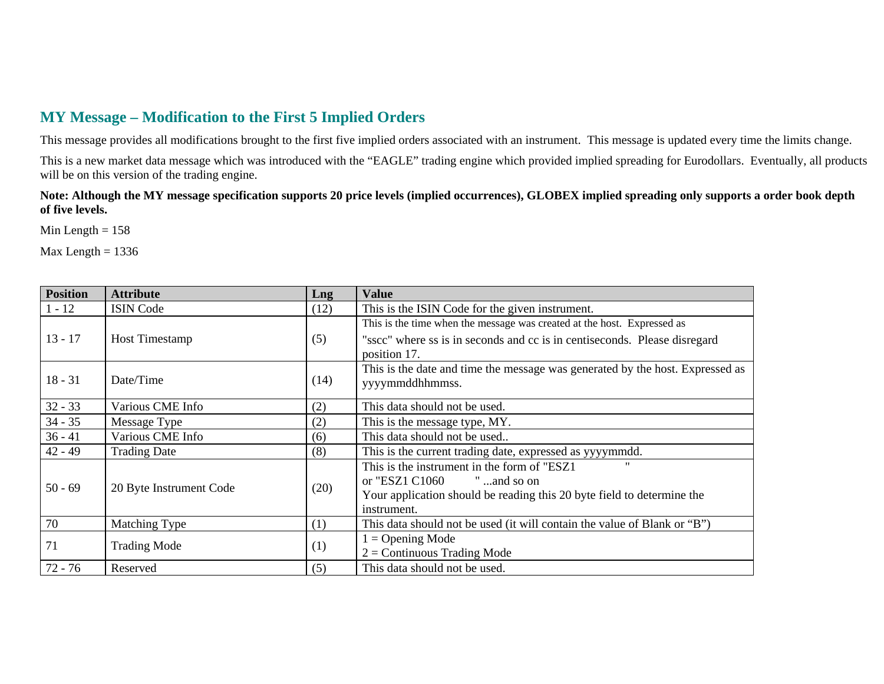## **MY Message – Modification to the First 5 Implied Orders**

This message provides all modifications brought to the first five implied orders associated with an instrument. This message is updated every time the limits change.

This is a new market data message which was introduced with the "EAGLE" trading engine which provided implied spreading for Eurodollars. Eventually, all products will be on this version of the trading engine.

**Note: Although the MY message specification supports 20 price levels (implied occurrences), GLOBEX implied spreading only supports a order book depth of five levels.** 

Min Length  $= 158$ 

Max Length  $= 1336$ 

| <b>Position</b> | <b>Attribute</b>        | Lng  | <b>Value</b>                                                                  |
|-----------------|-------------------------|------|-------------------------------------------------------------------------------|
| $1 - 12$        | <b>ISIN Code</b>        | (12) | This is the ISIN Code for the given instrument.                               |
|                 |                         |      | This is the time when the message was created at the host. Expressed as       |
| $13 - 17$       | <b>Host Timestamp</b>   | (5)  | "sscc" where ss is in seconds and cc is in centiseconds. Please disregard     |
|                 |                         |      | position 17.                                                                  |
|                 |                         |      | This is the date and time the message was generated by the host. Expressed as |
| $18 - 31$       | Date/Time               | (14) | yyyymmddhhmmss.                                                               |
| $32 - 33$       | Various CME Info        | (2)  | This data should not be used.                                                 |
| $34 - 35$       | Message Type            | (2)  | This is the message type, MY.                                                 |
| $36 - 41$       | Various CME Info        | (6)  | This data should not be used                                                  |
| $42 - 49$       | <b>Trading Date</b>     | (8)  | This is the current trading date, expressed as yyyymmdd.                      |
|                 |                         |      | $^{\prime}$<br>This is the instrument in the form of "ESZ1"                   |
| $50 - 69$       | 20 Byte Instrument Code | (20) | or "ESZ1 C1060<br>" and so on                                                 |
|                 |                         |      | Your application should be reading this 20 byte field to determine the        |
|                 |                         |      | instrument.                                                                   |
| 70              | Matching Type           | (1)  | This data should not be used (it will contain the value of Blank or "B")      |
| 71              |                         |      | $1 =$ Opening Mode                                                            |
|                 | <b>Trading Mode</b>     | (1)  | $2 =$ Continuous Trading Mode                                                 |
| $72 - 76$       | Reserved                | (5)  | This data should not be used.                                                 |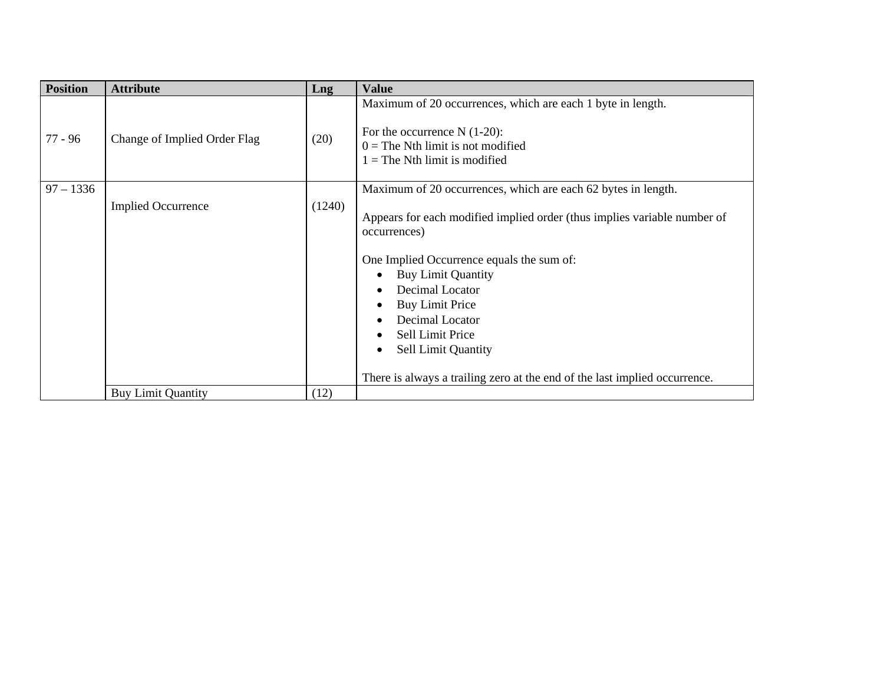| <b>Position</b> | <b>Attribute</b>             | Lng    | <b>Value</b>                                                                                                                                                                                                                                                                                                                                                                                                                                                               |
|-----------------|------------------------------|--------|----------------------------------------------------------------------------------------------------------------------------------------------------------------------------------------------------------------------------------------------------------------------------------------------------------------------------------------------------------------------------------------------------------------------------------------------------------------------------|
| 77 - 96         | Change of Implied Order Flag | (20)   | Maximum of 20 occurrences, which are each 1 byte in length.<br>For the occurrence $N(1-20)$ :<br>$0 =$ The Nth limit is not modified<br>$1 =$ The Nth limit is modified                                                                                                                                                                                                                                                                                                    |
| $97 - 1336$     | <b>Implied Occurrence</b>    | (1240) | Maximum of 20 occurrences, which are each 62 bytes in length.<br>Appears for each modified implied order (thus implies variable number of<br>occurrences)<br>One Implied Occurrence equals the sum of:<br><b>Buy Limit Quantity</b><br>Decimal Locator<br><b>Buy Limit Price</b><br>$\bullet$<br>Decimal Locator<br>Sell Limit Price<br>$\bullet$<br><b>Sell Limit Quantity</b><br>$\bullet$<br>There is always a trailing zero at the end of the last implied occurrence. |
|                 | <b>Buy Limit Quantity</b>    | (12)   |                                                                                                                                                                                                                                                                                                                                                                                                                                                                            |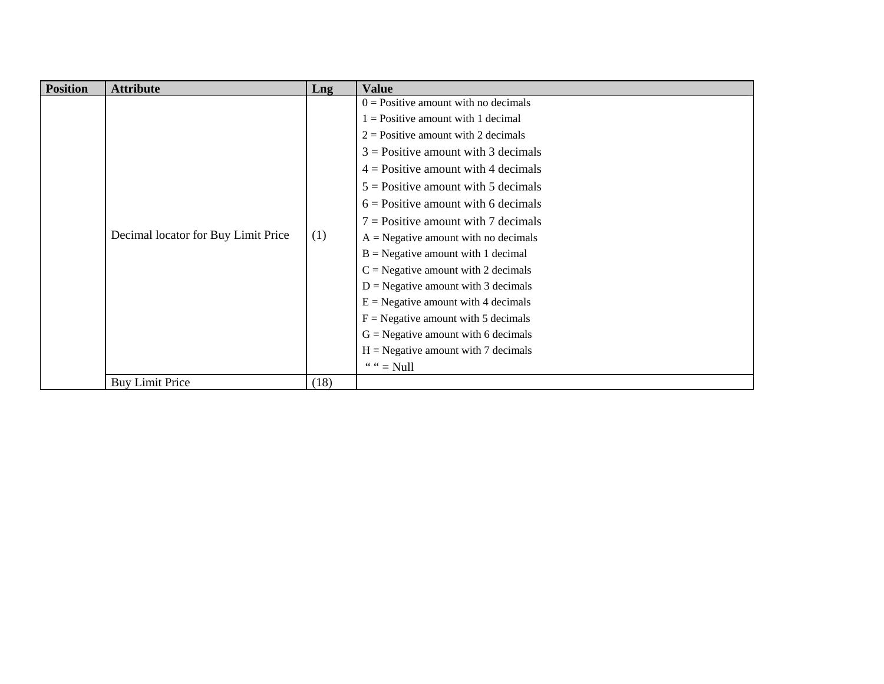| <b>Position</b> | <b>Attribute</b>                    | Lng  | <b>Value</b>                           |
|-----------------|-------------------------------------|------|----------------------------------------|
|                 |                                     |      | $0 =$ Positive amount with no decimals |
|                 |                                     |      | $1 =$ Positive amount with 1 decimal   |
|                 |                                     |      | $2$ = Positive amount with 2 decimals  |
|                 |                                     |      | $3$ = Positive amount with 3 decimals  |
|                 |                                     |      | $4$ = Positive amount with 4 decimals  |
|                 |                                     | (1)  | $5 =$ Positive amount with 5 decimals  |
|                 |                                     |      | $6$ = Positive amount with 6 decimals  |
|                 |                                     |      | $7 =$ Positive amount with 7 decimals  |
|                 | Decimal locator for Buy Limit Price |      | $A = Negative amount with no decimals$ |
|                 |                                     |      | $B = Negative amount with 1 decimal$   |
|                 |                                     |      | $C =$ Negative amount with 2 decimals  |
|                 |                                     |      | $D = Negative amount with 3 decimals$  |
|                 |                                     |      | $E =$ Negative amount with 4 decimals  |
|                 |                                     |      | $F = Negative amount with 5 decimals$  |
|                 |                                     |      | $G =$ Negative amount with 6 decimals  |
|                 |                                     |      | $H = Negative amount with 7 decimals$  |
|                 |                                     |      | " " $=$ Null                           |
|                 | <b>Buy Limit Price</b>              | (18) |                                        |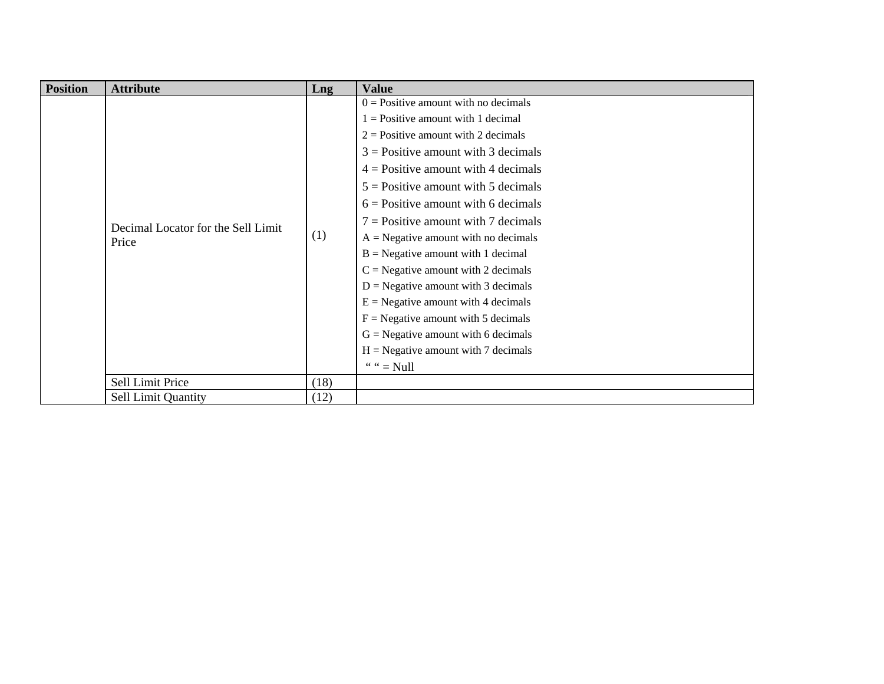| <b>Position</b> | <b>Attribute</b>                            | Lng  | <b>Value</b>                           |
|-----------------|---------------------------------------------|------|----------------------------------------|
|                 |                                             |      | $0 =$ Positive amount with no decimals |
|                 |                                             |      | $1 =$ Positive amount with 1 decimal   |
|                 |                                             |      | $2$ = Positive amount with 2 decimals  |
|                 |                                             |      | $3$ = Positive amount with 3 decimals  |
|                 |                                             |      | $4$ = Positive amount with 4 decimals  |
|                 |                                             |      | $5$ = Positive amount with 5 decimals  |
|                 | Decimal Locator for the Sell Limit<br>Price | (1)  | $6$ = Positive amount with 6 decimals  |
|                 |                                             |      | $7 =$ Positive amount with 7 decimals  |
|                 |                                             |      | $A = Negative amount with no decimals$ |
|                 |                                             |      | $B = Negative amount with 1 decimal$   |
|                 |                                             |      | $C =$ Negative amount with 2 decimals  |
|                 |                                             |      | $D = Negative amount with 3 decimals$  |
|                 |                                             |      | $E =$ Negative amount with 4 decimals  |
|                 |                                             |      | $F = Negative amount with 5 decimals$  |
|                 |                                             |      | $G =$ Negative amount with 6 decimals  |
|                 |                                             |      | $H = Negative amount with 7 decimals$  |
|                 |                                             |      | " " $=$ Null                           |
|                 | Sell Limit Price                            | (18) |                                        |
|                 | <b>Sell Limit Quantity</b>                  | (12) |                                        |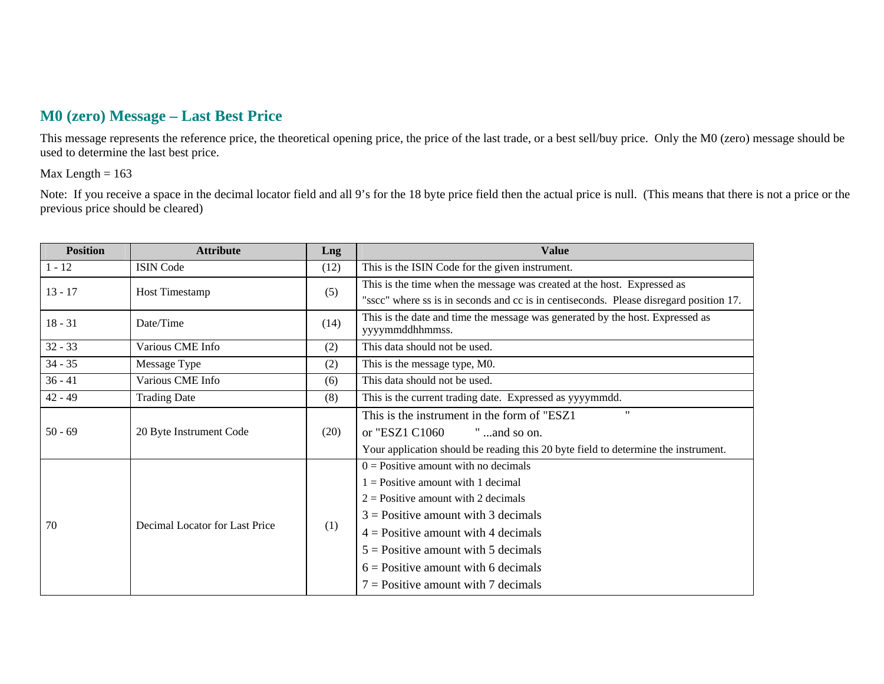## **M0 (zero) Message – Last Best Price**

This message represents the reference price, the theoretical opening price, the price of the last trade, or a best sell/buy price. Only the M0 (zero) message should be used to determine the last best price.

#### Max Length  $= 163$

Note: If you receive a space in the decimal locator field and all 9's for the 18 byte price field then the actual price is null. (This means that there is not a price or the previous price should be cleared)

| <b>Position</b> | <b>Attribute</b>               | Lng  | <b>Value</b>                                                                           |
|-----------------|--------------------------------|------|----------------------------------------------------------------------------------------|
| $1 - 12$        | <b>ISIN Code</b>               | (12) | This is the ISIN Code for the given instrument.                                        |
| $13 - 17$       | <b>Host Timestamp</b>          | (5)  | This is the time when the message was created at the host. Expressed as                |
|                 |                                |      | "sscc" where ss is in seconds and cc is in centiseconds. Please disregard position 17. |
| $18 - 31$       | Date/Time                      | (14) | This is the date and time the message was generated by the host. Expressed as          |
|                 |                                |      | yyyymmddhhmmss.                                                                        |
| $32 - 33$       | Various CME Info               | (2)  | This data should not be used.                                                          |
| $34 - 35$       | Message Type                   | (2)  | This is the message type, M0.                                                          |
| $36 - 41$       | Various CME Info               | (6)  | This data should not be used.                                                          |
| $42 - 49$       | <b>Trading Date</b>            | (8)  | This is the current trading date. Expressed as yyyymmdd.                               |
|                 | 20 Byte Instrument Code        | (20) | $^{\prime\prime}$<br>This is the instrument in the form of "ESZ1"                      |
| $50 - 69$       |                                |      | or "ESZ1 C1060<br>" and so on.                                                         |
|                 |                                |      | Your application should be reading this 20 byte field to determine the instrument.     |
|                 |                                |      | $0 =$ Positive amount with no decimals                                                 |
|                 | Decimal Locator for Last Price | (1)  | $1 =$ Positive amount with 1 decimal                                                   |
|                 |                                |      | $2$ = Positive amount with 2 decimals                                                  |
| 70              |                                |      | $3$ = Positive amount with 3 decimals                                                  |
|                 |                                |      | $4$ = Positive amount with 4 decimals                                                  |
|                 |                                |      | $5 =$ Positive amount with 5 decimals                                                  |
|                 |                                |      | $6$ = Positive amount with 6 decimals                                                  |
|                 |                                |      | $7 =$ Positive amount with 7 decimals                                                  |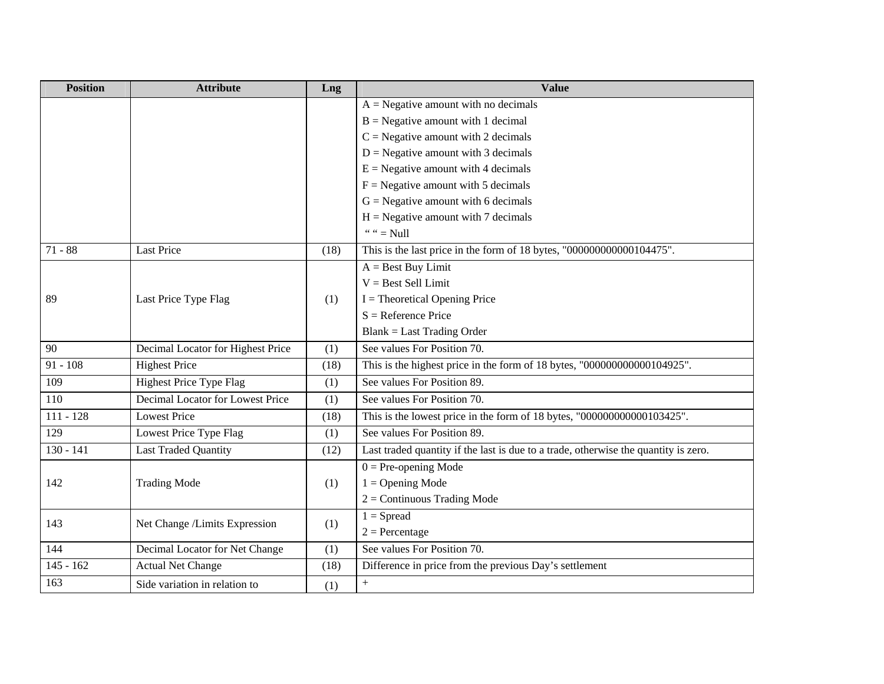| <b>Position</b> | <b>Attribute</b>                  | Lng  | <b>Value</b>                                                                        |
|-----------------|-----------------------------------|------|-------------------------------------------------------------------------------------|
|                 |                                   |      | $A = Negative amount with no decimals$                                              |
|                 |                                   |      | $B = Negative amount with 1 decimal$                                                |
|                 |                                   |      | $C =$ Negative amount with 2 decimals                                               |
|                 |                                   |      | $D = Negative amount with 3 decimals$                                               |
|                 |                                   |      | $E =$ Negative amount with 4 decimals                                               |
|                 |                                   |      | $F =$ Negative amount with 5 decimals                                               |
|                 |                                   |      | $G = Negative amount with 6 decimals$                                               |
|                 |                                   |      | $H = Negative amount with 7 decimals$                                               |
|                 |                                   |      | " " $=$ Null                                                                        |
| $71 - 88$       | <b>Last Price</b>                 | (18) | This is the last price in the form of 18 bytes, "000000000000104475".               |
|                 |                                   |      | $A = Best Buy Limit$                                                                |
|                 |                                   |      | $V = Best$ Sell Limit                                                               |
| 89              | Last Price Type Flag              | (1)  | $I = Theoretical Opening Price$                                                     |
|                 |                                   |      | $S =$ Reference Price                                                               |
|                 |                                   |      | <b>Blank</b> = Last Trading Order                                                   |
| 90              | Decimal Locator for Highest Price | (1)  | See values For Position 70.                                                         |
| $91 - 108$      | <b>Highest Price</b>              | (18) | This is the highest price in the form of 18 bytes, "000000000000104925".            |
| 109             | Highest Price Type Flag           | (1)  | See values For Position 89.                                                         |
| 110             | Decimal Locator for Lowest Price  | (1)  | See values For Position 70.                                                         |
| $111 - 128$     | <b>Lowest Price</b>               | (18) | This is the lowest price in the form of 18 bytes, "000000000000103425".             |
| 129             | Lowest Price Type Flag            | (1)  | See values For Position 89.                                                         |
| $130 - 141$     | <b>Last Traded Quantity</b>       | (12) | Last traded quantity if the last is due to a trade, otherwise the quantity is zero. |
|                 |                                   |      | $0 = Pre-opening Mode$                                                              |
| 142             | <b>Trading Mode</b>               | (1)  | $1 =$ Opening Mode                                                                  |
|                 |                                   |      | $2 =$ Continuous Trading Mode                                                       |
| 143             |                                   |      | $1 =$ Spread                                                                        |
|                 | Net Change /Limits Expression     | (1)  | $2 =$ Percentage                                                                    |
| 144             | Decimal Locator for Net Change    | (1)  | See values For Position 70.                                                         |
| $145 - 162$     | <b>Actual Net Change</b>          | (18) | Difference in price from the previous Day's settlement                              |
| 163             | Side variation in relation to     | (1)  | $\, +$                                                                              |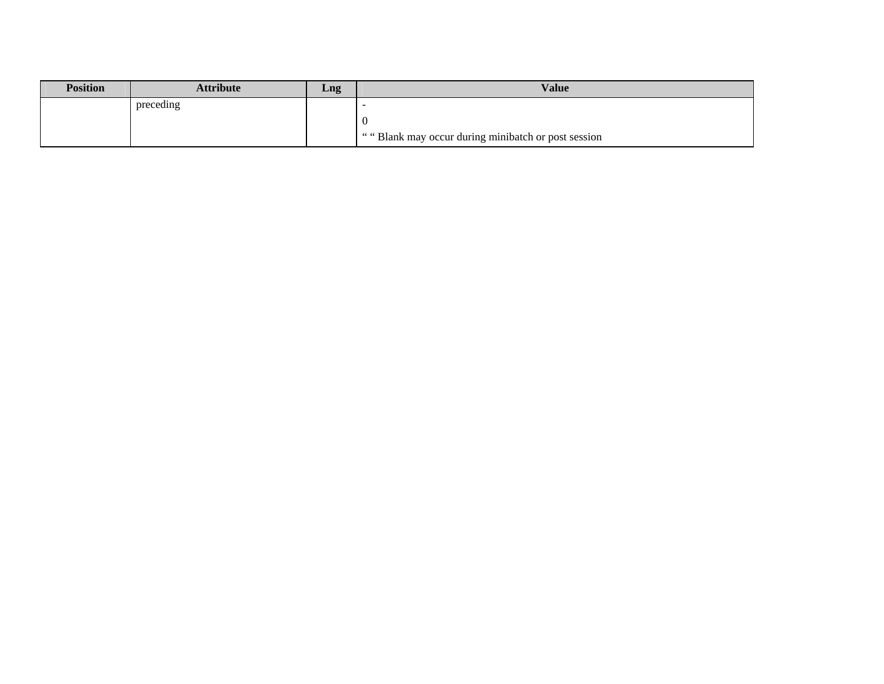| <b>Position</b> | Attribute | Lng | <b>Value</b>                                        |
|-----------------|-----------|-----|-----------------------------------------------------|
|                 | preceding |     | -                                                   |
|                 |           |     | U                                                   |
|                 |           |     | "" Blank may occur during minibatch or post session |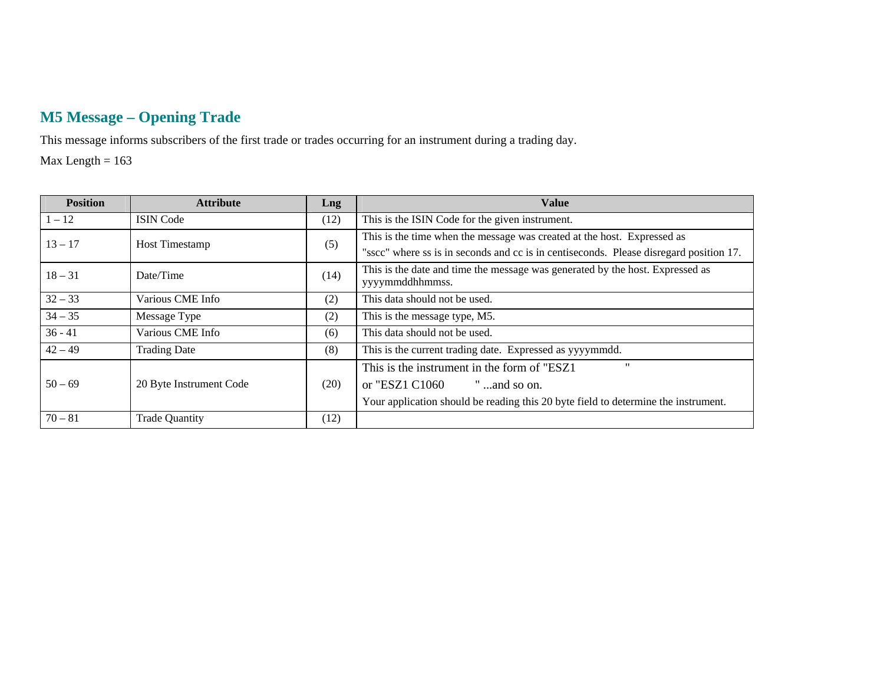# **M5 Message – Opening Trade**

This message informs subscribers of the first trade or trades occurring for an instrument during a trading day.

Max Length  $= 163$ 

| <b>Position</b> | <b>Attribute</b>        | Lng  | <b>Value</b>                                                                           |
|-----------------|-------------------------|------|----------------------------------------------------------------------------------------|
| $1 - 12$        | <b>ISIN</b> Code        | (12) | This is the ISIN Code for the given instrument.                                        |
| $13 - 17$       | <b>Host Timestamp</b>   | (5)  | This is the time when the message was created at the host. Expressed as                |
|                 |                         |      | "sscc" where ss is in seconds and cc is in centiseconds. Please disregard position 17. |
| $18 - 31$       | Date/Time               | (14) | This is the date and time the message was generated by the host. Expressed as          |
|                 |                         |      | yyyymmddhhmmss.                                                                        |
| $32 - 33$       | Various CME Info        | (2)  | This data should not be used.                                                          |
| $34 - 35$       | Message Type            | (2)  | This is the message type, M5.                                                          |
| $36 - 41$       | Various CME Info        | (6)  | This data should not be used.                                                          |
| $42 - 49$       | <b>Trading Date</b>     | (8)  | This is the current trading date. Expressed as yyyymmdd.                               |
|                 |                         |      | $^{\prime\prime}$<br>This is the instrument in the form of "ESZ1"                      |
| $50 - 69$       | 20 Byte Instrument Code | (20) | or "ESZ1 C1060<br>" and so on.                                                         |
|                 |                         |      | Your application should be reading this 20 byte field to determine the instrument.     |
| $70 - 81$       | <b>Trade Quantity</b>   | (12) |                                                                                        |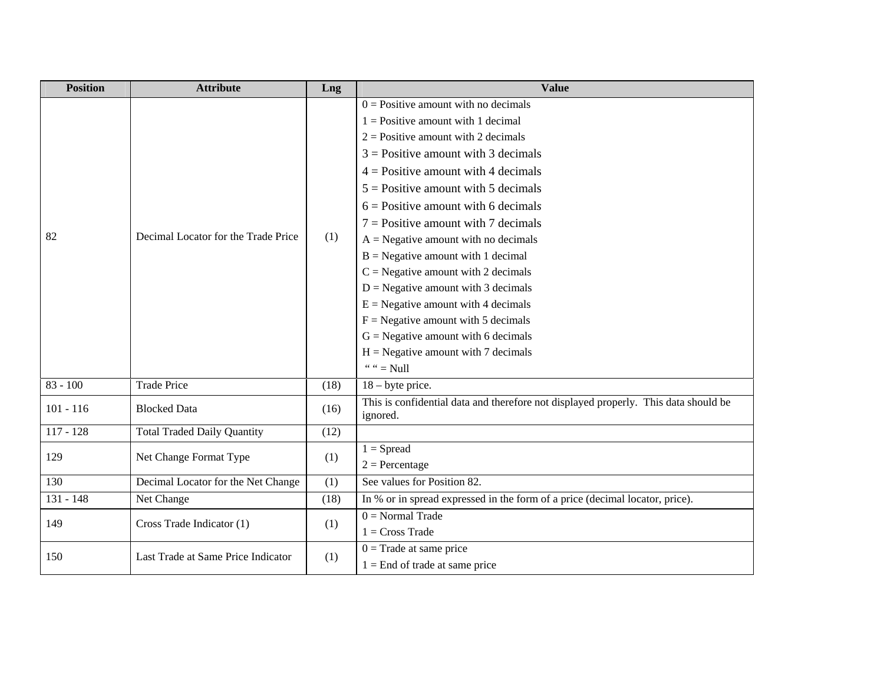| <b>Position</b> | <b>Attribute</b>                    | Lng  | <b>Value</b>                                                                                                                                                                                                                                                                                                                                                                                                                                                                                                                                                                                                                                                                                 |
|-----------------|-------------------------------------|------|----------------------------------------------------------------------------------------------------------------------------------------------------------------------------------------------------------------------------------------------------------------------------------------------------------------------------------------------------------------------------------------------------------------------------------------------------------------------------------------------------------------------------------------------------------------------------------------------------------------------------------------------------------------------------------------------|
| 82              | Decimal Locator for the Trade Price | (1)  | $0 =$ Positive amount with no decimals<br>$1 =$ Positive amount with 1 decimal<br>$2 =$ Positive amount with 2 decimals<br>$3$ = Positive amount with 3 decimals<br>$4$ = Positive amount with 4 decimals<br>$5 =$ Positive amount with 5 decimals<br>$6$ = Positive amount with 6 decimals<br>$7 =$ Positive amount with 7 decimals<br>$A = Negative amount with no decimals$<br>$B = Negative amount with 1 decimal$<br>$C =$ Negative amount with 2 decimals<br>$D =$ Negative amount with 3 decimals<br>$E =$ Negative amount with 4 decimals<br>$F =$ Negative amount with 5 decimals<br>$G = Negative amount with 6 decimals$<br>$H = Negative amount with 7 decimals$<br>" " $=$ Null |
| $83 - 100$      | <b>Trade Price</b>                  | (18) | $18 -$ byte price.                                                                                                                                                                                                                                                                                                                                                                                                                                                                                                                                                                                                                                                                           |
| $101 - 116$     | <b>Blocked Data</b>                 | (16) | This is confidential data and therefore not displayed properly. This data should be<br>ignored.                                                                                                                                                                                                                                                                                                                                                                                                                                                                                                                                                                                              |
| $117 - 128$     | <b>Total Traded Daily Quantity</b>  | (12) |                                                                                                                                                                                                                                                                                                                                                                                                                                                                                                                                                                                                                                                                                              |
| 129             | Net Change Format Type              | (1)  | $1 =$ Spread<br>$2 =$ Percentage                                                                                                                                                                                                                                                                                                                                                                                                                                                                                                                                                                                                                                                             |
| 130             | Decimal Locator for the Net Change  | (1)  | See values for Position 82.                                                                                                                                                                                                                                                                                                                                                                                                                                                                                                                                                                                                                                                                  |
| $131 - 148$     | Net Change                          | (18) | In % or in spread expressed in the form of a price (decimal locator, price).                                                                                                                                                                                                                                                                                                                                                                                                                                                                                                                                                                                                                 |
| 149             | Cross Trade Indicator (1)           | (1)  | $0 = Normal Trade$<br>$1 = Cross Trade$                                                                                                                                                                                                                                                                                                                                                                                                                                                                                                                                                                                                                                                      |
| 150             | Last Trade at Same Price Indicator  | (1)  | $0 =$ Trade at same price<br>$1 =$ End of trade at same price                                                                                                                                                                                                                                                                                                                                                                                                                                                                                                                                                                                                                                |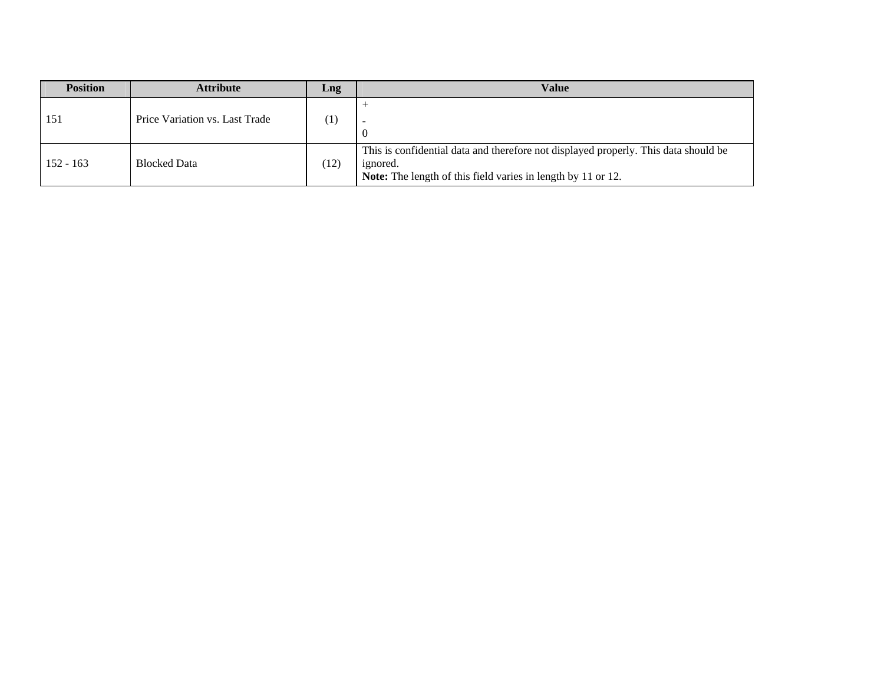| <b>Position</b> | <b>Attribute</b>               | Lng               | <b>Value</b>                                                                                                                                                           |
|-----------------|--------------------------------|-------------------|------------------------------------------------------------------------------------------------------------------------------------------------------------------------|
| 151             | Price Variation vs. Last Trade | $\left( 1\right)$ | U                                                                                                                                                                      |
| $152 - 163$     | <b>Blocked Data</b>            | (12)              | This is confidential data and therefore not displayed properly. This data should be<br>ignored.<br><b>Note:</b> The length of this field varies in length by 11 or 12. |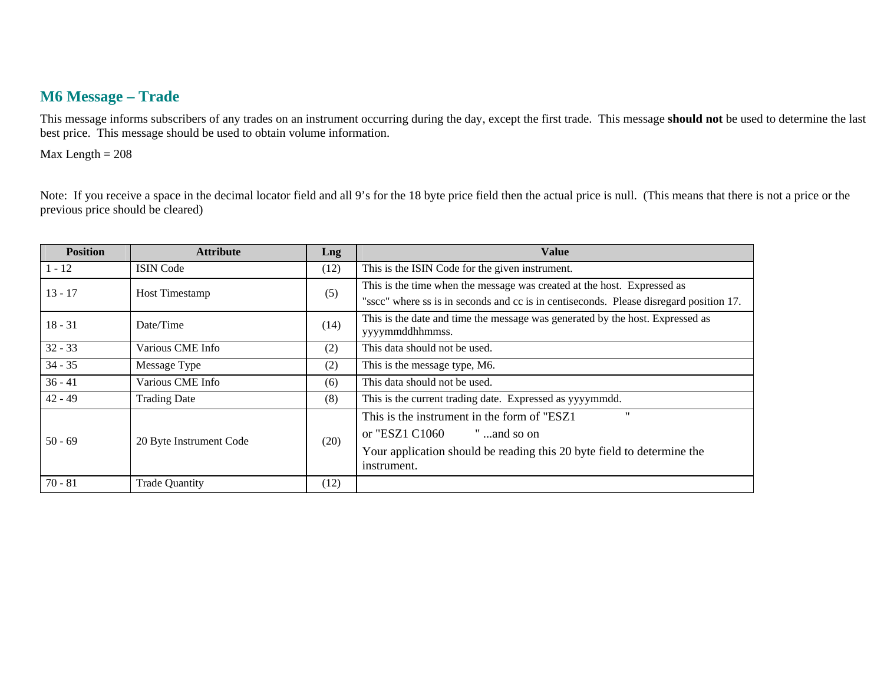### **M6 Message – Trade**

This message informs subscribers of any trades on an instrument occurring during the day, except the first trade. This message **should not** be used to determine the last best price. This message should be used to obtain volume information.

 $Max Length = 208$ 

Note: If you receive a space in the decimal locator field and all 9's for the 18 byte price field then the actual price is null. (This means that there is not a price or the previous price should be cleared)

| <b>Position</b> | <b>Attribute</b>        | Lng  | <b>Value</b>                                                                           |
|-----------------|-------------------------|------|----------------------------------------------------------------------------------------|
| $1 - 12$        | <b>ISIN</b> Code        | (12) | This is the ISIN Code for the given instrument.                                        |
| $13 - 17$       | <b>Host Timestamp</b>   | (5)  | This is the time when the message was created at the host. Expressed as                |
|                 |                         |      | "sscc" where ss is in seconds and cc is in centiseconds. Please disregard position 17. |
| $18 - 31$       | Date/Time               | (14) | This is the date and time the message was generated by the host. Expressed as          |
|                 |                         |      | yyyymmddhhmmss.                                                                        |
| $32 - 33$       | Various CME Info        | (2)  | This data should not be used.                                                          |
| $34 - 35$       | Message Type            | (2)  | This is the message type, M6.                                                          |
| $36 - 41$       | Various CME Info        | (6)  | This data should not be used.                                                          |
| $42 - 49$       | <b>Trading Date</b>     | (8)  | This is the current trading date. Expressed as yyyymmdd.                               |
| $50 - 69$       | 20 Byte Instrument Code | (20) | $^{\prime\prime}$<br>This is the instrument in the form of "ESZ1"                      |
|                 |                         |      | or "ESZ1 C1060<br>" and so on                                                          |
|                 |                         |      | Your application should be reading this 20 byte field to determine the                 |
|                 |                         |      | instrument.                                                                            |
| $70 - 81$       | <b>Trade Quantity</b>   | (12) |                                                                                        |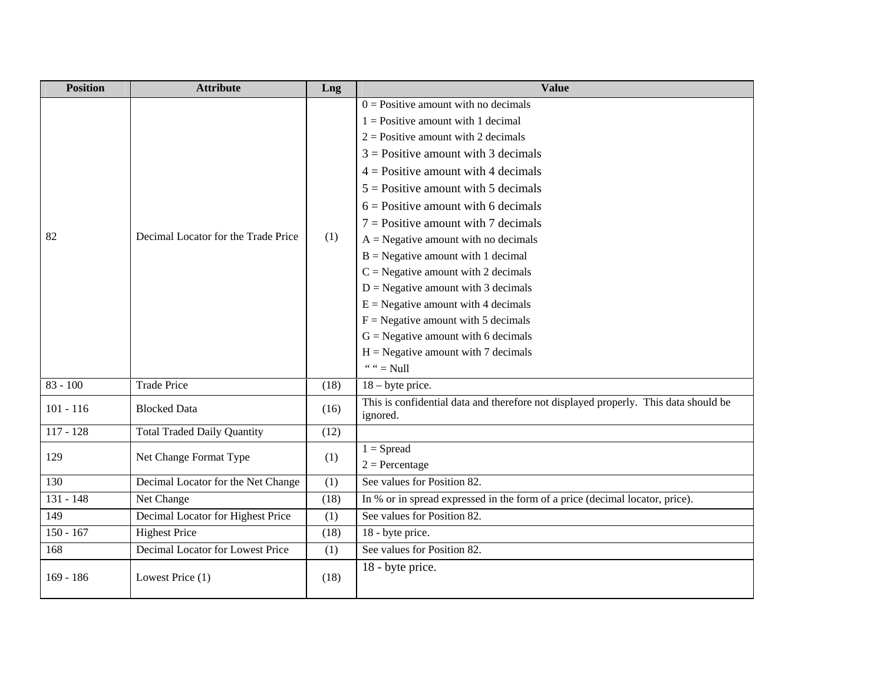| <b>Position</b> | <b>Attribute</b>                    | Lng  | <b>Value</b>                                                                                                                                                                                                                                                                                                                                                                                                                                                                                                                                                                                                                                                                                 |
|-----------------|-------------------------------------|------|----------------------------------------------------------------------------------------------------------------------------------------------------------------------------------------------------------------------------------------------------------------------------------------------------------------------------------------------------------------------------------------------------------------------------------------------------------------------------------------------------------------------------------------------------------------------------------------------------------------------------------------------------------------------------------------------|
| 82              | Decimal Locator for the Trade Price | (1)  | $0 =$ Positive amount with no decimals<br>$1 =$ Positive amount with 1 decimal<br>$2 =$ Positive amount with 2 decimals<br>$3$ = Positive amount with 3 decimals<br>$4 =$ Positive amount with 4 decimals<br>$5 =$ Positive amount with 5 decimals<br>$6$ = Positive amount with 6 decimals<br>$7 =$ Positive amount with 7 decimals<br>$A = Negative amount with no decimals$<br>$B = Negative amount with 1 decimal$<br>$C = Negative amount with 2 decimals$<br>$D =$ Negative amount with 3 decimals<br>$E =$ Negative amount with 4 decimals<br>$F =$ Negative amount with 5 decimals<br>$G =$ Negative amount with 6 decimals<br>$H = Negative amount with 7 decimals$<br>" " $=$ Null |
| $83 - 100$      | <b>Trade Price</b>                  | (18) | $18 -$ byte price.                                                                                                                                                                                                                                                                                                                                                                                                                                                                                                                                                                                                                                                                           |
| $101 - 116$     | <b>Blocked Data</b>                 | (16) | This is confidential data and therefore not displayed properly. This data should be<br>ignored.                                                                                                                                                                                                                                                                                                                                                                                                                                                                                                                                                                                              |
| $117 - 128$     | <b>Total Traded Daily Quantity</b>  | (12) |                                                                                                                                                                                                                                                                                                                                                                                                                                                                                                                                                                                                                                                                                              |
| 129             | Net Change Format Type              | (1)  | $1 =$ Spread<br>$2 = Percentage$                                                                                                                                                                                                                                                                                                                                                                                                                                                                                                                                                                                                                                                             |
| 130             | Decimal Locator for the Net Change  | (1)  | See values for Position 82.                                                                                                                                                                                                                                                                                                                                                                                                                                                                                                                                                                                                                                                                  |
| 131 - 148       | Net Change                          | (18) | In % or in spread expressed in the form of a price (decimal locator, price).                                                                                                                                                                                                                                                                                                                                                                                                                                                                                                                                                                                                                 |
| 149             | Decimal Locator for Highest Price   | (1)  | See values for Position 82.                                                                                                                                                                                                                                                                                                                                                                                                                                                                                                                                                                                                                                                                  |
| $150 - 167$     | <b>Highest Price</b>                | (18) | 18 - byte price.                                                                                                                                                                                                                                                                                                                                                                                                                                                                                                                                                                                                                                                                             |
| 168             | Decimal Locator for Lowest Price    | (1)  | See values for Position 82.                                                                                                                                                                                                                                                                                                                                                                                                                                                                                                                                                                                                                                                                  |
| $169 - 186$     | Lowest Price (1)                    | (18) | 18 - byte price.                                                                                                                                                                                                                                                                                                                                                                                                                                                                                                                                                                                                                                                                             |